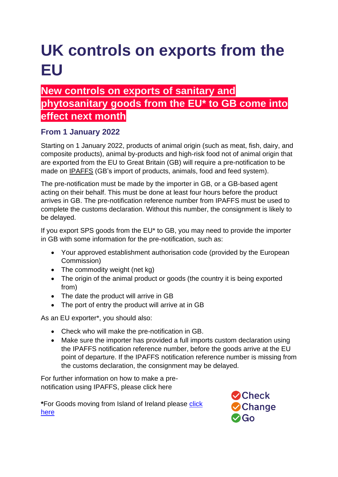# **UK controls on exports from the EU**

# **New controls on exports of sanitary and phytosanitary goods from the EU\* to GB come into effect next month**

#### **From 1 January 2022**

Starting on 1 January 2022, products of animal origin (such as meat, fish, dairy, and composite products), animal by-products and high-risk food not of animal origin that are exported from the EU to Great Britain (GB) will require a pre-notification to be made on [IPAFFS](https://www.gov.uk/guidance/import-of-products-animals-food-and-feed-system) (GB's import of products, animals, food and feed system).

The pre-notification must be made by the importer in GB, or a GB-based agent acting on their behalf. This must be done at least four hours before the product arrives in GB. The pre-notification reference number from IPAFFS must be used to complete the customs declaration. Without this number, the consignment is likely to be delayed.

If you export SPS goods from the EU\* to GB, you may need to provide the importer in GB with some information for the pre-notification, such as:

- Your approved establishment authorisation code (provided by the European Commission)
- The commodity weight (net kg)
- The origin of the animal product or goods (the country it is being exported from)
- The date the product will arrive in GB
- The port of entry the product will arrive at in GB

As an EU exporter\*, you should also:

- Check who will make the pre-notification in GB.
- Make sure the importer has provided a full imports custom declaration using the IPAFFS notification reference number, before the goods arrive at the EU point of departure. If the IPAFFS notification reference number is missing from the customs declaration, the consignment may be delayed.

For further information on how to make a prenotification using IPAFFS, please click here

**\***For Goods moving from Island of Ireland please [click](https://questions-statements.parliament.uk/written-statements/detail/2021-12-15/hcws486)  [here](https://questions-statements.parliament.uk/written-statements/detail/2021-12-15/hcws486)